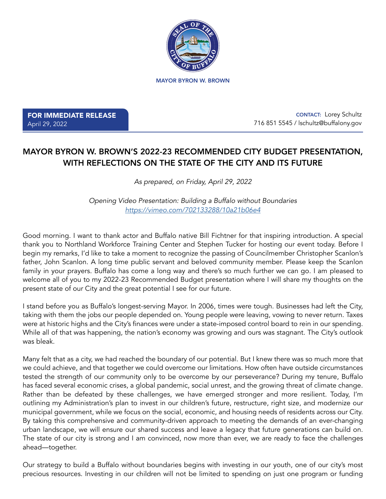

MAYOR BYRON W. BROWN

FOR IMMEDIATE RELEASE April 29, 2022

 CONTACT: Lorey Schultz 716 851 5545 / lschultz@buffalony.gov

## MAYOR BYRON W. BROWN'S 2022-23 RECOMMENDED CITY BUDGET PRESENTATION, WITH REFLECTIONS ON THE STATE OF THE CITY AND ITS FUTURE

*As prepared, on Friday, April 29, 2022*

*Opening Video Presentation: Building a Buffalo without Boundaries [https://vimeo.com/702133288/10a21b06e4](https://vimeo.com/702133288/10a21b06e4 )*

Good morning. I want to thank actor and Buffalo native Bill Fichtner for that inspiring introduction. A special thank you to Northland Workforce Training Center and Stephen Tucker for hosting our event today. Before I begin my remarks, I'd like to take a moment to recognize the passing of Councilmember Christopher Scanlon's father, John Scanlon. A long time public servant and beloved community member. Please keep the Scanlon family in your prayers. Buffalo has come a long way and there's so much further we can go. I am pleased to welcome all of you to my 2022-23 Recommended Budget presentation where I will share my thoughts on the present state of our City and the great potential I see for our future.

I stand before you as Buffalo's longest-serving Mayor. In 2006, times were tough. Businesses had left the City, taking with them the jobs our people depended on. Young people were leaving, vowing to never return. Taxes were at historic highs and the City's finances were under a state-imposed control board to rein in our spending. While all of that was happening, the nation's economy was growing and ours was stagnant. The City's outlook was bleak.

Many felt that as a city, we had reached the boundary of our potential. But I knew there was so much more that we could achieve, and that together we could overcome our limitations. How often have outside circumstances tested the strength of our community only to be overcome by our perseverance? During my tenure, Buffalo has faced several economic crises, a global pandemic, social unrest, and the growing threat of climate change. Rather than be defeated by these challenges, we have emerged stronger and more resilient. Today, I'm outlining my Administration's plan to invest in our children's future, restructure, right size, and modernize our municipal government, while we focus on the social, economic, and housing needs of residents across our City. By taking this comprehensive and community-driven approach to meeting the demands of an ever-changing urban landscape, we will ensure our shared success and leave a legacy that future generations can build on. The state of our city is strong and I am convinced, now more than ever, we are ready to face the challenges ahead—together.

Our strategy to build a Buffalo without boundaries begins with investing in our youth, one of our city's most precious resources. Investing in our children will not be limited to spending on just one program or funding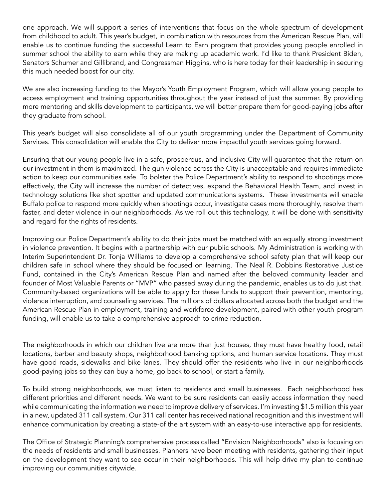one approach. We will support a series of interventions that focus on the whole spectrum of development from childhood to adult. This year's budget, in combination with resources from the American Rescue Plan, will enable us to continue funding the successful Learn to Earn program that provides young people enrolled in summer school the ability to earn while they are making up academic work. I'd like to thank President Biden, Senators Schumer and Gillibrand, and Congressman Higgins, who is here today for their leadership in securing this much needed boost for our city.

We are also increasing funding to the Mayor's Youth Employment Program, which will allow young people to access employment and training opportunities throughout the year instead of just the summer. By providing more mentoring and skills development to participants, we will better prepare them for good-paying jobs after they graduate from school.

This year's budget will also consolidate all of our youth programming under the Department of Community Services. This consolidation will enable the City to deliver more impactful youth services going forward.

Ensuring that our young people live in a safe, prosperous, and inclusive City will guarantee that the return on our investment in them is maximized. The gun violence across the City is unacceptable and requires immediate action to keep our communities safe. To bolster the Police Department's ability to respond to shootings more effectively, the City will increase the number of detectives, expand the Behavioral Health Team, and invest in technology solutions like shot spotter and updated communications systems. These investments will enable Buffalo police to respond more quickly when shootings occur, investigate cases more thoroughly, resolve them faster, and deter violence in our neighborhoods. As we roll out this technology, it will be done with sensitivity and regard for the rights of residents.

Improving our Police Department's ability to do their jobs must be matched with an equally strong investment in violence prevention. It begins with a partnership with our public schools. My Administration is working with Interim Superintendent Dr. Tonja Williams to develop a comprehensive school safety plan that will keep our children safe in school where they should be focused on learning. The Neal R. Dobbins Restorative Justice Fund, contained in the City's American Rescue Plan and named after the beloved community leader and founder of Most Valuable Parents or "MVP" who passed away during the pandemic, enables us to do just that. Community-based organizations will be able to apply for these funds to support their prevention, mentoring, violence interruption, and counseling services. The millions of dollars allocated across both the budget and the American Rescue Plan in employment, training and workforce development, paired with other youth program funding, will enable us to take a comprehensive approach to crime reduction.

The neighborhoods in which our children live are more than just houses, they must have healthy food, retail locations, barber and beauty shops, neighborhood banking options, and human service locations. They must have good roads, sidewalks and bike lanes. They should offer the residents who live in our neighborhoods good-paying jobs so they can buy a home, go back to school, or start a family.

To build strong neighborhoods, we must listen to residents and small businesses. Each neighborhood has different priorities and different needs. We want to be sure residents can easily access information they need while communicating the information we need to improve delivery of services. I'm investing \$1.5 million this year in a new, updated 311 call system. Our 311 call center has received national recognition and this investment will enhance communication by creating a state-of the art system with an easy-to-use interactive app for residents.

The Office of Strategic Planning's comprehensive process called "Envision Neighborhoods" also is focusing on the needs of residents and small businesses. Planners have been meeting with residents, gathering their input on the development they want to see occur in their neighborhoods. This will help drive my plan to continue improving our communities citywide.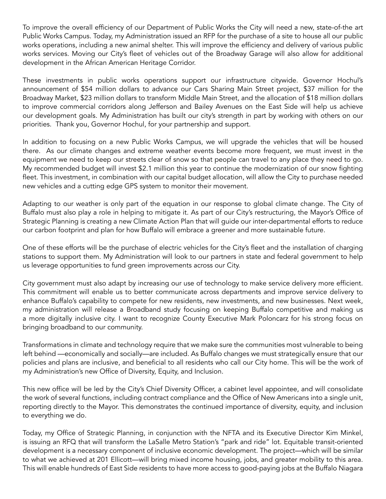To improve the overall efficiency of our Department of Public Works the City will need a new, state-of-the art Public Works Campus. Today, my Administration issued an RFP for the purchase of a site to house all our public works operations, including a new animal shelter. This will improve the efficiency and delivery of various public works services. Moving our City's fleet of vehicles out of the Broadway Garage will also allow for additional development in the African American Heritage Corridor.

These investments in public works operations support our infrastructure citywide. Governor Hochul's announcement of \$54 million dollars to advance our Cars Sharing Main Street project, \$37 million for the Broadway Market, \$23 million dollars to transform Middle Main Street, and the allocation of \$18 million dollars to improve commercial corridors along Jefferson and Bailey Avenues on the East Side will help us achieve our development goals. My Administration has built our city's strength in part by working with others on our priorities. Thank you, Governor Hochul, for your partnership and support.

In addition to focusing on a new Public Works Campus, we will upgrade the vehicles that will be housed there. As our climate changes and extreme weather events become more frequent, we must invest in the equipment we need to keep our streets clear of snow so that people can travel to any place they need to go. My recommended budget will invest \$2.1 million this year to continue the modernization of our snow fighting fleet. This investment, in combination with our capital budget allocation, will allow the City to purchase needed new vehicles and a cutting edge GPS system to monitor their movement.

Adapting to our weather is only part of the equation in our response to global climate change. The City of Buffalo must also play a role in helping to mitigate it. As part of our City's restructuring, the Mayor's Office of Strategic Planning is creating a new Climate Action Plan that will guide our inter-departmental efforts to reduce our carbon footprint and plan for how Buffalo will embrace a greener and more sustainable future.

One of these efforts will be the purchase of electric vehicles for the City's fleet and the installation of charging stations to support them. My Administration will look to our partners in state and federal government to help us leverage opportunities to fund green improvements across our City.

City government must also adapt by increasing our use of technology to make service delivery more efficient. This commitment will enable us to better communicate across departments and improve service delivery to enhance Buffalo's capability to compete for new residents, new investments, and new businesses. Next week, my administration will release a Broadband study focusing on keeping Buffalo competitive and making us a more digitally inclusive city. I want to recognize County Executive Mark Poloncarz for his strong focus on bringing broadband to our community.

Transformations in climate and technology require that we make sure the communities most vulnerable to being left behind —economically and socially—are included. As Buffalo changes we must strategically ensure that our policies and plans are inclusive, and beneficial to all residents who call our City home. This will be the work of my Administration's new Office of Diversity, Equity, and Inclusion.

This new office will be led by the City's Chief Diversity Officer, a cabinet level appointee, and will consolidate the work of several functions, including contract compliance and the Office of New Americans into a single unit, reporting directly to the Mayor. This demonstrates the continued importance of diversity, equity, and inclusion to everything we do.

Today, my Office of Strategic Planning, in conjunction with the NFTA and its Executive Director Kim Minkel, is issuing an RFQ that will transform the LaSalle Metro Station's "park and ride" lot. Equitable transit-oriented development is a necessary component of inclusive economic development. The project—which will be similar to what we achieved at 201 Ellicott—will bring mixed income housing, jobs, and greater mobility to this area. This will enable hundreds of East Side residents to have more access to good-paying jobs at the Buffalo Niagara